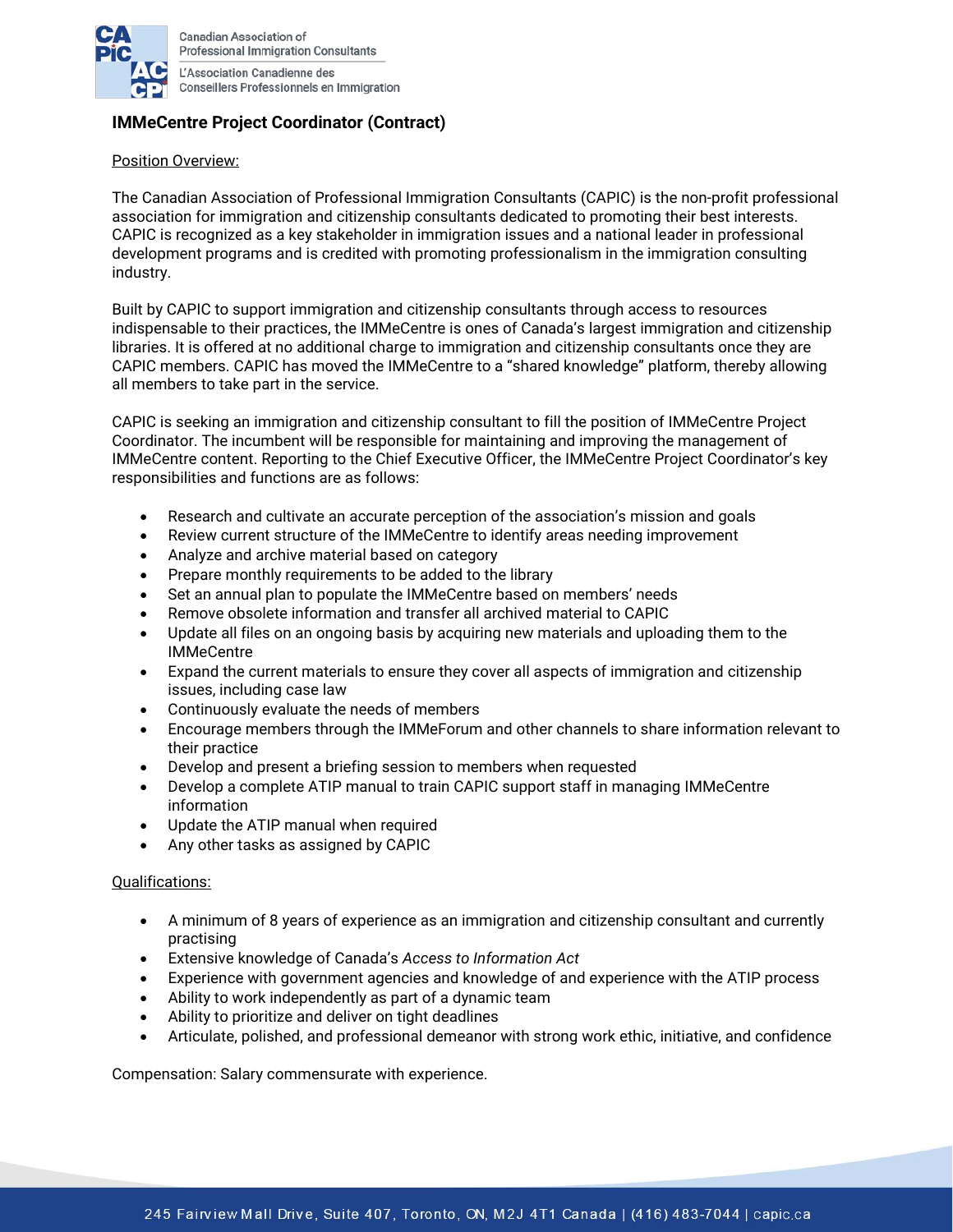

**Canadian Association of Professional Immigration Consultants** L'Association Canadienne des

**Conseillers Professionnels en Immigration** 

## **IMMeCentre Project Coordinator (Contract)**

## Position Overview:

The Canadian Association of Professional Immigration Consultants (CAPIC) is the non-profit professional association for immigration and citizenship consultants dedicated to promoting their best interests. CAPIC is recognized as a key stakeholder in immigration issues and a national leader in professional development programs and is credited with promoting professionalism in the immigration consulting industry.

Built by CAPIC to support immigration and citizenship consultants through access to resources indispensable to their practices, the IMMeCentre is ones of Canada's largest immigration and citizenship libraries. It is offered at no additional charge to immigration and citizenship consultants once they are CAPIC members. CAPIC has moved the IMMeCentre to a "shared knowledge" platform, thereby allowing all members to take part in the service.

CAPIC is seeking an immigration and citizenship consultant to fill the position of IMMeCentre Project Coordinator. The incumbent will be responsible for maintaining and improving the management of IMMeCentre content. Reporting to the Chief Executive Officer, the IMMeCentre Project Coordinator's key responsibilities and functions are as follows:

- Research and cultivate an accurate perception of the association's mission and goals
- Review current structure of the IMMeCentre to identify areas needing improvement
- Analyze and archive material based on category
- Prepare monthly requirements to be added to the library
- Set an annual plan to populate the IMMeCentre based on members' needs
- Remove obsolete information and transfer all archived material to CAPIC
- Update all files on an ongoing basis by acquiring new materials and uploading them to the **IMMeCentre**
- Expand the current materials to ensure they cover all aspects of immigration and citizenship issues, including case law
- Continuously evaluate the needs of members
- Encourage members through the IMMeForum and other channels to share information relevant to their practice
- Develop and present a briefing session to members when requested
- Develop a complete ATIP manual to train CAPIC support staff in managing IMMeCentre information
- Update the ATIP manual when required
- Any other tasks as assigned by CAPIC

## Qualifications:

- A minimum of 8 years of experience as an immigration and citizenship consultant and currently practising
- Extensive knowledge of Canada's *Access to Information Act*
- Experience with government agencies and knowledge of and experience with the ATIP process
- Ability to work independently as part of a dynamic team
- Ability to prioritize and deliver on tight deadlines
- Articulate, polished, and professional demeanor with strong work ethic, initiative, and confidence

Compensation: Salary commensurate with experience.